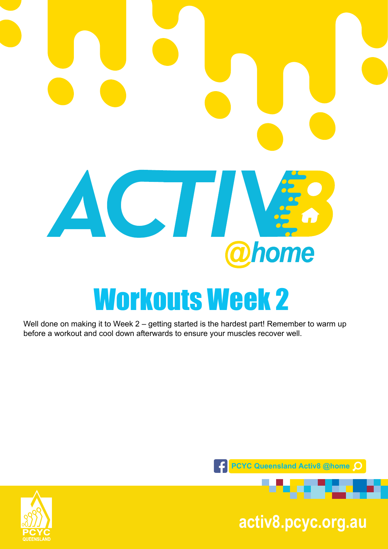# ACTIV. home Workouts Week 2

Well done on making it to Week 2 – getting started is the hardest part! Remember to warm up before a workout and cool down afterwards to ensure your muscles recover well.



**pcyc.org.au activ8.pcyc.org.au**

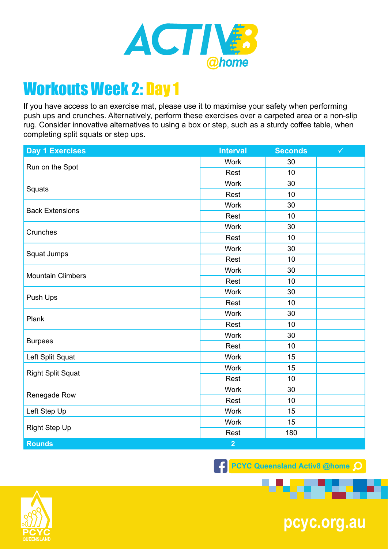

If you have access to an exercise mat, please use it to maximise your safety when performing push ups and crunches. Alternatively, perform these exercises over a carpeted area or a non-slip rug. Consider innovative alternatives to using a box or step, such as a sturdy coffee table, when completing split squats or step ups.

| <b>Day 1 Exercises</b>   | <b>Interval</b> | <b>Seconds</b> | $\checkmark$ |
|--------------------------|-----------------|----------------|--------------|
| Run on the Spot          | <b>Work</b>     | 30             |              |
|                          | Rest            | 10             |              |
| Squats                   | <b>Work</b>     | 30             |              |
|                          | Rest            | 10             |              |
| <b>Back Extensions</b>   | <b>Work</b>     | 30             |              |
|                          | Rest            | 10             |              |
| Crunches                 | <b>Work</b>     | 30             |              |
|                          | Rest            | 10             |              |
| Squat Jumps              | <b>Work</b>     | 30             |              |
|                          | Rest            | 10             |              |
|                          | <b>Work</b>     | 30             |              |
| <b>Mountain Climbers</b> | Rest            | 10             |              |
|                          | <b>Work</b>     | 30             |              |
| Push Ups                 | Rest            | 10             |              |
| Plank                    | <b>Work</b>     | 30             |              |
|                          | Rest            | 10             |              |
| <b>Burpees</b>           | Work            | 30             |              |
|                          | Rest            | 10             |              |
| Left Split Squat         | <b>Work</b>     | 15             |              |
| <b>Right Split Squat</b> | <b>Work</b>     | 15             |              |
|                          | Rest            | 10             |              |
| Renegade Row             | <b>Work</b>     | 30             |              |
|                          | Rest            | 10             |              |
| Left Step Up             | Work            | 15             |              |
| <b>Right Step Up</b>     | Work            | 15             |              |
|                          | Rest            | 180            |              |
| <b>Rounds</b>            | $\overline{2}$  |                |              |

**F** PCYC Queensland Activ8 @home Q



**pcyc.org.au**

**ALC**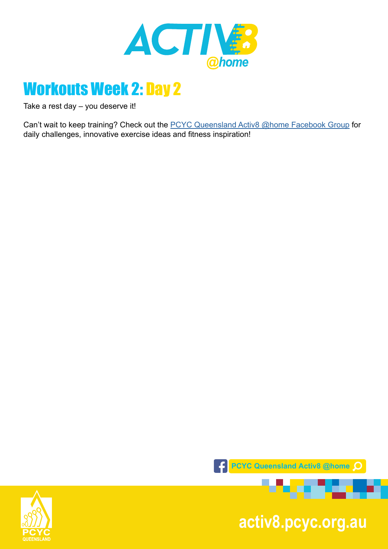

Take a rest day – you deserve it!

Can't wait to keep training? Check out the **PCYC Queensland Activ8 @home Facebook Group** for daily challenges, innovative exercise ideas and fitness inspiration!



**pcyc.org.au activ8.pcyc.org.au**

**DESCRIPTION** 

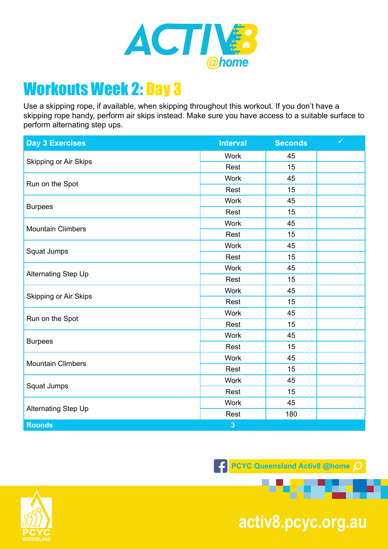

Use a skipping rope, if available, when skipping throughout this workout. If you don't have a skipping rope handy, perform air skips instead. Make sure you have access to a suitable surface to perform alternating step ups.

| <b>Day 3 Exercises</b>       | <b>Interval</b>         | <b>Seconds</b> | $\checkmark$ |
|------------------------------|-------------------------|----------------|--------------|
| <b>Skipping or Air Skips</b> | <b>Work</b>             | 45             |              |
|                              | Rest                    | 15             |              |
| Run on the Spot              | <b>Work</b>             | 45             |              |
|                              | Rest                    | 15             |              |
| <b>Burpees</b>               | Work                    | 45             |              |
|                              | Rest                    | 15             |              |
| <b>Mountain Climbers</b>     | <b>Work</b>             | 45             |              |
|                              | Rest                    | 15             |              |
| Squat Jumps                  | <b>Work</b>             | 45             |              |
|                              | Rest                    | 15             |              |
|                              | Work                    | 45             |              |
| Alternating Step Up          | Rest                    | 15             |              |
|                              | <b>Work</b>             | 45             |              |
| Skipping or Air Skips        | Rest                    | 15             |              |
|                              | <b>Work</b>             | 45             |              |
| Run on the Spot              | Rest                    | 15             |              |
| <b>Burpees</b>               | <b>Work</b>             | 45             |              |
|                              | Rest                    | 15             |              |
| <b>Mountain Climbers</b>     | <b>Work</b>             | 45             |              |
|                              | Rest                    | 15             |              |
| Squat Jumps                  | Work                    | 45             |              |
|                              | Rest                    | 15             |              |
| Alternating Step Up          | <b>Work</b>             | 45             |              |
|                              | Rest                    | 180            |              |
| <b>Rounds</b>                | $\overline{\mathbf{3}}$ |                |              |

**F** PCYC Queensland Activ8 @home Q



**pcyc.org.au activ8.pcyc.org.au**

. .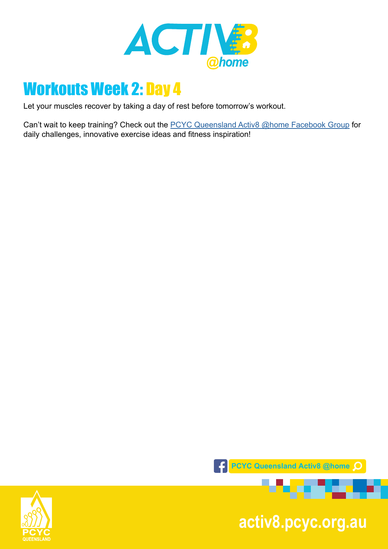

Let your muscles recover by taking a day of rest before tomorrow's workout.

Can't wait to keep training? Check out the **PCYC Queensland Activ8 @home Facebook Group** for daily challenges, innovative exercise ideas and fitness inspiration!



**pcyc.org.au activ8.pcyc.org.au**

**MARKET** 

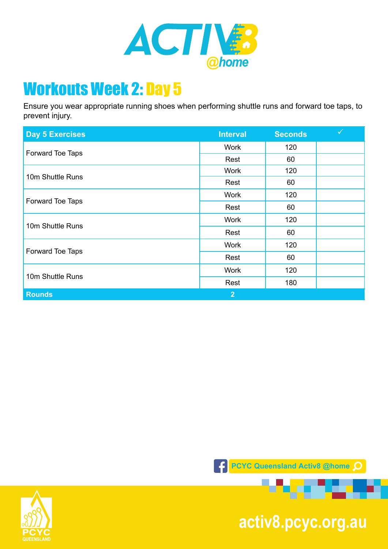

Ensure you wear appropriate running shoes when performing shuttle runs and forward toe taps, to prevent injury.

| <b>Day 5 Exercises</b> | <b>Interval</b> | <b>Seconds</b> | $\checkmark$ |
|------------------------|-----------------|----------------|--------------|
| Forward Toe Taps       | <b>Work</b>     | 120            |              |
|                        | Rest            | 60             |              |
| 10m Shuttle Runs       | <b>Work</b>     | 120            |              |
|                        | Rest            | 60             |              |
| Forward Toe Taps       | <b>Work</b>     | 120            |              |
|                        | Rest            | 60             |              |
| 10m Shuttle Runs       | <b>Work</b>     | 120            |              |
|                        | Rest            | 60             |              |
| Forward Toe Taps       | <b>Work</b>     | 120            |              |
|                        | Rest            | 60             |              |
| 10m Shuttle Runs       | <b>Work</b>     | 120            |              |
|                        | Rest            | 180            |              |
| <b>Rounds</b>          | 2 <sup>1</sup>  |                |              |





**pcyc.org.au activ8.pcyc.org.au**

*<u>PARTIES</u>* 

.er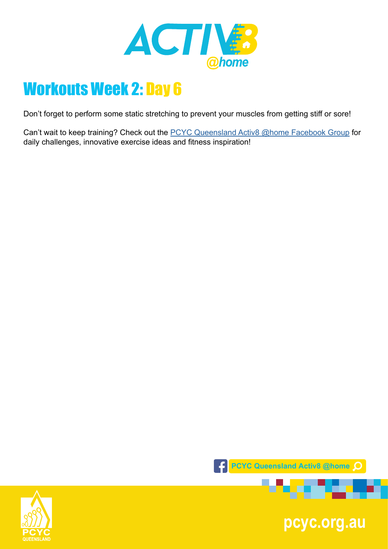

Don't forget to perform some static stretching to prevent your muscles from getting stiff or sore!

Can't wait to keep training? Check out the **PCYC Queensland Activ8 @home Facebook Group** for daily challenges, innovative exercise ideas and fitness inspiration!